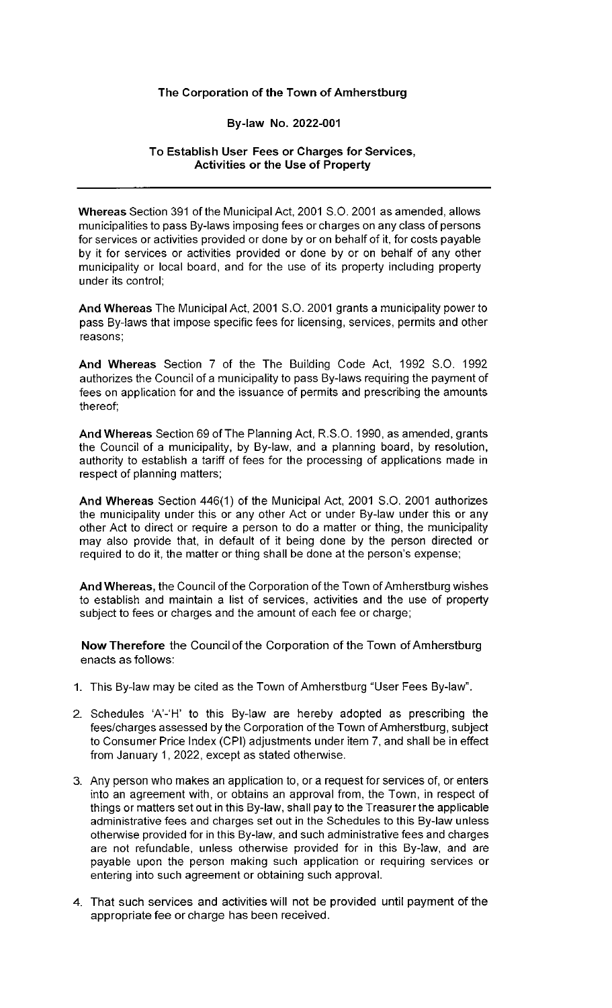## **The Corporation of the Town of Amherstburg**

# **By-law No. 2022-001**

## **To Establish User Fees or Charges for Services, Activities or the Use of Property**

**Whereas** Section 391 of the Municipal Act, 2001 S.O. 2001 as amended, allows municipalities to pass By-laws imposing fees or charges on any class of persons for services or activities provided or done by or on behalf of it, for costs payable by it for services or activities provided or done by or on behalf of any other municipality or local board, and for the use of its property including property under its control;

**And Whereas** The Municipal Act, 2001 S.O. 2001 grants a municipality power to pass By-laws that impose specific fees for licensing, services, permits and other reasons;

**And Whereas** Section 7 of the The Building Code Act, 1992 S.O. 1992 authorizes the Council of a municipality to pass By-laws requiring the payment of fees on application for and the issuance of permits and prescribing the amounts thereof;

**And Whereas** Section 69 of The Planning Act, R.S.O. 1990, as amended, grants the Council of a municipality, by By-law, and a planning board, by resolution, authority to establish a tariff of fees for the processing of applications made in respect of planning matters;

**And Whereas** Section 446(1) of the Municipal Act, 2001 S.O. 2001 authorizes the municipality under this or any other Act or under By-law under this or any other Act to direct or require a person to do a matter or thing, the municipality may also provide that, in default of it being done by the person directed or required to do it, the matter or thing shall be done at the person's expense;

**And Whereas,** the Council of the Corporation of the Town of Amherstburg wishes to establish and maintain a list of services, activities and the use of property subject to fees or charges and the amount of each fee or charge;

**Now Therefore** the Council of the Corporation of the Town of Amherstburg enacts as follows:

- **1.** This By-law may be cited as the Town of Amherstburg "User Fees By-law".
- 2. Schedules 'A'-'H' to this By-law are hereby adopted as prescribing the fees/charges assessed by the Corporation of the Town of Amherstburg, subject to Consumer Price Index (CPI) adjustments under item 7, and shall be in effect from January 1, 2022, except as stated otherwise.
- 3. Any person who makes an application to, or a request for services of, or enters into an agreement with, or obtains an approval from, the Town, in respect of things or matters set out in this By-law, shall pay to the Treasurer the applicable administrative fees and charges set out in the Schedules to this By-law unless otherwise provided for in this By-law, and such administrative fees and charges are not refundable, unless otherwise provided for in this By-law, and are payable upon the person making such application or requiring services or entering into such agreement or obtaining such approval.
- 4. That such services and activities will not be provided until payment of the appropriate fee or charge has been received.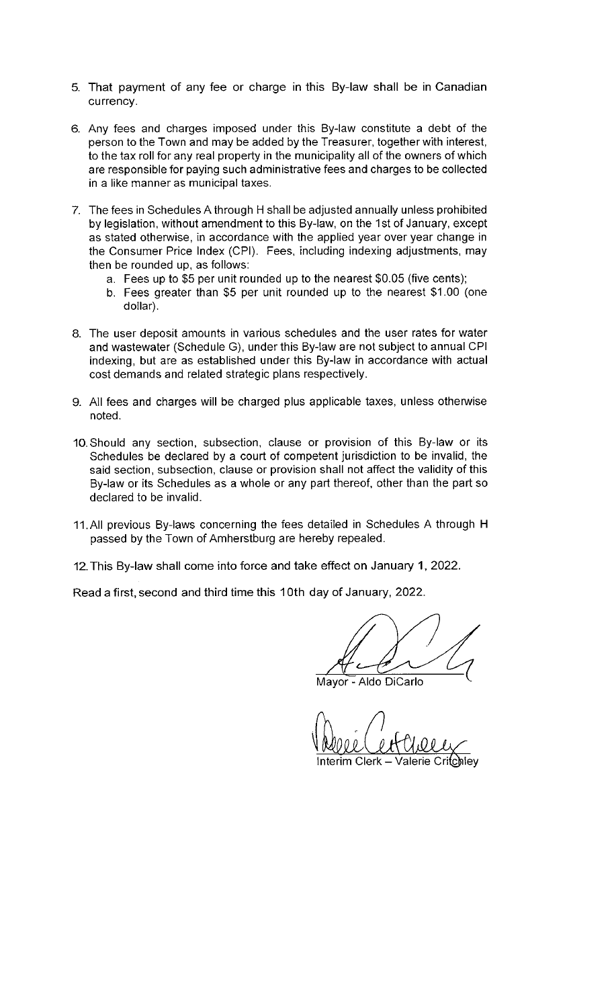- 5. That payment of any fee or charge in this By-law shall be in Canadian currency.
- 6. Any fees and charges imposed under this By-law constitute a debt of the person to the Town and may be added by the Treasurer, together with interest, to the tax roll for any real property in the municipality all of the owners of which are responsible for paying such administrative fees and charges to be collected in a like manner as municipal taxes.
- 7. The fees in Schedules A through H shall be adjusted annually unless prohibited by legislation, without amendment to this By-law, on the 1st of January, except as stated otherwise, in accordance with the applied year over year change in the Consumer Price Index (CPI). Fees, including indexing adjustments, may then be rounded up, as follows:
	- a. Fees up to \$5 per unit rounded up to the nearest \$0.05 (five cents);
	- b. Fees greater than \$5 per unit rounded up to the nearest \$1.00 (one dollar).
- 8. The user deposit amounts in various schedules and the user rates for water and wastewater (Schedule G), under this By-law are not subject to annual CPI indexing, but are as established under this By-law in accordance with actual cost demands and related strategic plans respectively.
- 9. All fees and charges will be charged plus applicable taxes, unless otherwise noted.
- 10. Should any section, subsection, clause or provision of this By-law or its Schedules be declared by a court of competent jurisdiction to be invalid, the said section, subsection, clause or provision shall not affect the validity of this By-law or its Schedules as a whole or any part thereof, other than the part so declared to be invalid.
- 11. All previous By-laws concerning the fees detailed in Schedules A through H passed by the Town of Amherstburg are hereby repealed.
- 12. This By-law shall come into force and take effect on January 1, 2022.

Read a first, second and third time this 10th day of January, 2022.

Mayor - Aldo DiCarlo

Interim Clerk  $-$  Valerie Critchley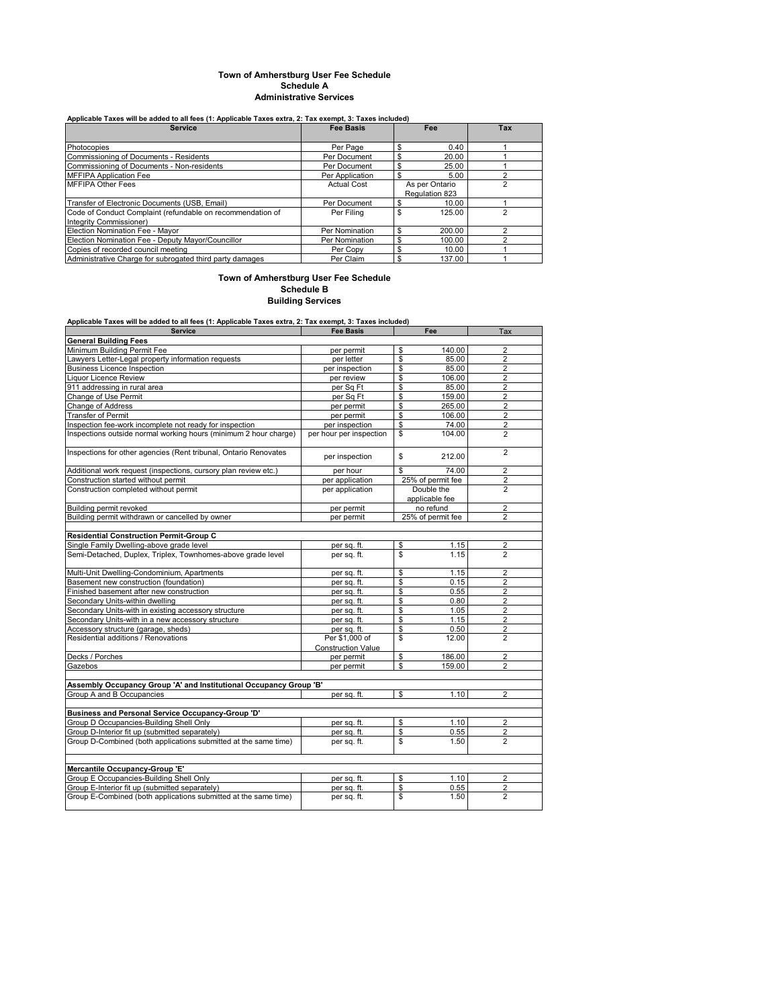#### **Town of Amherstburg User Fee Schedule Schedule A Administrative Services**

## **Applicable Taxes will be added to all fees (1: Applicable Taxes extra, 2: Tax exempt, 3: Taxes included)**

| <b>Service</b>                                             | <b>Fee Basis</b>   | Fee            | Tax |
|------------------------------------------------------------|--------------------|----------------|-----|
|                                                            |                    |                |     |
| Photocopies                                                | Per Page           | \$<br>0.40     |     |
| Commissioning of Documents - Residents                     | Per Document       | \$<br>20.00    |     |
| Commissioning of Documents - Non-residents                 | Per Document       | \$<br>25.00    |     |
| <b>MFFIPA Application Fee</b>                              | Per Application    | \$<br>5.00     |     |
| <b>MFFIPA Other Fees</b>                                   | <b>Actual Cost</b> | As per Ontario |     |
|                                                            |                    | Regulation 823 |     |
| Transfer of Electronic Documents (USB, Email)              | Per Document       | \$<br>10.00    |     |
| Code of Conduct Complaint (refundable on recommendation of | Per Filing         | \$<br>125.00   |     |
| Integrity Commissioner)                                    |                    |                |     |
| Election Nomination Fee - Mavor                            | Per Nomination     | \$<br>200.00   |     |
| Election Nomination Fee - Deputy Mayor/Councillor          | Per Nomination     | \$<br>100.00   |     |
| Copies of recorded council meeting                         | Per Copy           | \$<br>10.00    |     |
| Administrative Charge for subrogated third party damages   | Per Claim          | 137.00<br>\$   |     |

### **Town of Amherstburg User Fee Schedule Schedule B Building Services**

**Applicable Taxes will be added to all fees (1: Applicable Taxes extra, 2: Tax exempt, 3: Taxes included)**

| <b>Service</b>                                                     | <b>Fee Basis</b>          | Fee                          | Tax            |
|--------------------------------------------------------------------|---------------------------|------------------------------|----------------|
| <b>General Building Fees</b>                                       |                           |                              |                |
| Minimum Building Permit Fee                                        | per permit                | \$<br>140.00                 | $\overline{2}$ |
| Lawyers Letter-Legal property information requests                 | per letter                | \$<br>85.00                  | $\overline{2}$ |
| <b>Business Licence Inspection</b>                                 | per inspection            | \$<br>85.00                  | $\overline{2}$ |
| <b>Liquor Licence Review</b>                                       | per review                | \$<br>106.00                 | $\overline{2}$ |
| 911 addressing in rural area                                       | per Sq Ft                 | \$<br>85.00                  | $\overline{2}$ |
| Change of Use Permit                                               | per Sq Ft                 | \$<br>159.00                 | $\overline{2}$ |
| Change of Address                                                  | per permit                | \$<br>265.00                 | $\overline{2}$ |
| <b>Transfer of Permit</b>                                          | per permit                | \$<br>106.00                 | $\overline{2}$ |
| Inspection fee-work incomplete not ready for inspection            | per inspection            | \$<br>74.00                  | $\overline{2}$ |
| Inspections outside normal working hours (minimum 2 hour charge)   | per hour per inspection   | \$<br>104.00                 | $\overline{2}$ |
| Inspections for other agencies (Rent tribunal, Ontario Renovates   | per inspection            | \$<br>212.00                 | $\overline{2}$ |
| Additional work request (inspections, cursory plan review etc.)    | per hour                  | \$<br>74.00                  | $\overline{2}$ |
| Construction started without permit                                | per application           | 25% of permit fee            | 2              |
| Construction completed without permit                              | per application           | Double the<br>applicable fee | $\overline{2}$ |
| Building permit revoked                                            | per permit                | no refund                    | $\overline{2}$ |
| Building permit withdrawn or cancelled by owner                    | per permit                | 25% of permit fee            | $\overline{2}$ |
|                                                                    |                           |                              |                |
| <b>Residential Construction Permit-Group C</b>                     |                           |                              |                |
| Single Family Dwelling-above grade level                           | per sq. ft.               | \$<br>1.15                   | 2              |
| Semi-Detached, Duplex, Triplex, Townhomes-above grade level        | per sq. ft.               | \$<br>1.15                   | $\overline{2}$ |
| Multi-Unit Dwelling-Condominium, Apartments                        | per sq. ft.               | \$<br>1.15                   | $\overline{2}$ |
| Basement new construction (foundation)                             | per sq. ft.               | \$<br>0.15                   | $\overline{2}$ |
| Finished basement after new construction                           | per sq. ft.               | \$<br>0.55                   | $\overline{2}$ |
| Secondary Units-within dwelling                                    | per sq. ft.               | \$<br>0.80                   | $\overline{2}$ |
| Secondary Units-with in existing accessory structure               | per sq. ft.               | \$<br>1.05                   | $\overline{2}$ |
| Secondary Units-with in a new accessory structure                  | per sq. ft.               | \$<br>1.15                   | $\overline{2}$ |
| Accessory structure (garage, sheds)                                | per sa. ft.               | \$<br>0.50                   | $\overline{2}$ |
| Residential additions / Renovations                                | Per \$1,000 of            | \$<br>12.00                  | $\overline{2}$ |
|                                                                    | <b>Construction Value</b> |                              |                |
| Decks / Porches                                                    | per permit                | \$<br>186.00                 | $\overline{2}$ |
| Gazebos                                                            | per permit                | \$<br>159.00                 | 2              |
|                                                                    |                           |                              |                |
| Assembly Occupancy Group 'A' and Institutional Occupancy Group 'B' |                           |                              |                |
| Group A and B Occupancies                                          | per sq. ft.               | \$<br>1.10                   | $\overline{2}$ |
| Business and Personal Service Occupancy-Group 'D'                  |                           |                              |                |
| Group D Occupancies-Building Shell Only                            | per sq. ft.               | \$<br>1.10                   | $\overline{2}$ |
| Group D-Interior fit up (submitted separately)                     | per sq. ft.               | \$<br>0.55                   | 2              |
| Group D-Combined (both applications submitted at the same time)    | per sq. ft.               | \$<br>1.50                   | $\overline{2}$ |
|                                                                    |                           |                              |                |
| Mercantile Occupancy-Group 'E'                                     |                           |                              |                |
| Group E Occupancies-Building Shell Only                            | per sq. ft.               | \$<br>1.10                   | $\overline{2}$ |
| Group E-Interior fit up (submitted separately)                     | per sq. ft.               | \$<br>0.55                   | $\overline{2}$ |
| Group E-Combined (both applications submitted at the same time)    | per sq. ft.               | \$<br>1.50                   | $\overline{2}$ |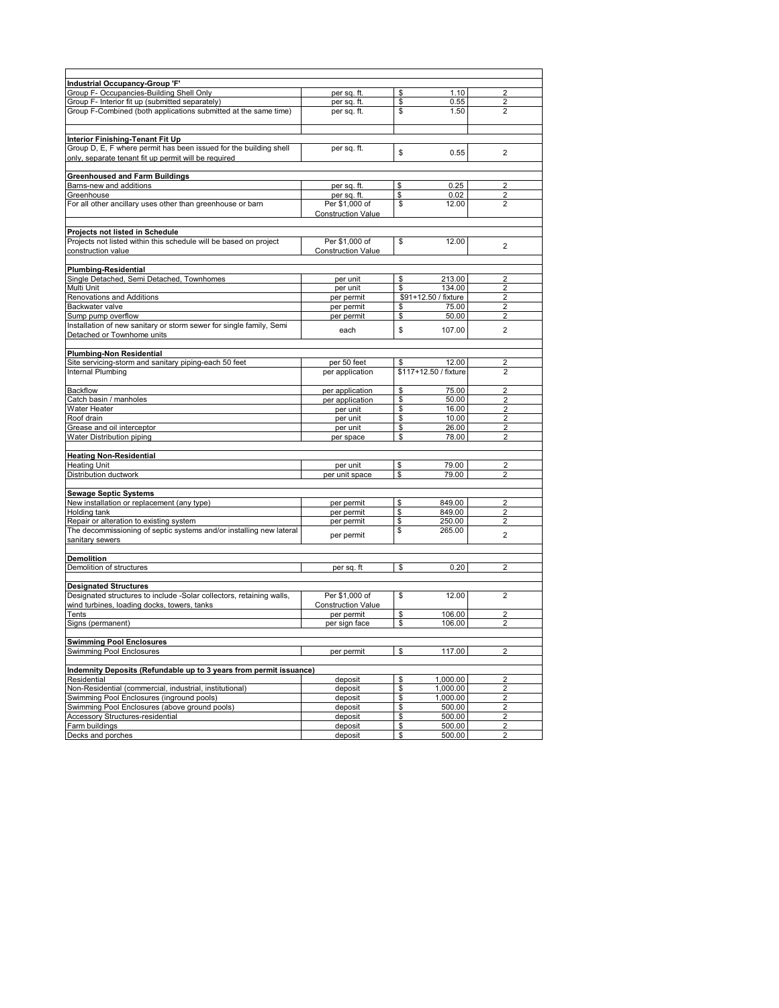| <b>Industrial Occupancy-Group 'F'</b>                                |                           |          |                       |                         |  |
|----------------------------------------------------------------------|---------------------------|----------|-----------------------|-------------------------|--|
| Group F- Occupancies-Building Shell Only                             | per sq. ft.               | \$       | 1.10                  | 2                       |  |
| Group F- Interior fit up (submitted separately)                      | per sq. ft.               | \$       | 0.55                  | $\overline{2}$          |  |
| Group F-Combined (both applications submitted at the same time)      | per sq. ft.               | \$       | 1.50                  | $\overline{2}$          |  |
|                                                                      |                           |          |                       |                         |  |
|                                                                      |                           |          |                       |                         |  |
| Interior Finishing-Tenant Fit Up                                     |                           |          |                       |                         |  |
| Group D, E, F where permit has been issued for the building shell    | per sq. ft.               | \$       | 0.55                  | $\overline{2}$          |  |
| only, separate tenant fit up permit will be required                 |                           |          |                       |                         |  |
| <b>Greenhoused and Farm Buildings</b>                                |                           |          |                       |                         |  |
| Barns-new and additions                                              | per sq. ft.               | \$       | 0.25                  |                         |  |
| Greenhouse                                                           | per sq. ft.               | \$       | 0.02                  | 2                       |  |
| For all other ancillary uses other than greenhouse or barn           | Per \$1,000 of            | \$       | 12.00                 | $\overline{2}$          |  |
|                                                                      | <b>Construction Value</b> |          |                       |                         |  |
|                                                                      |                           |          |                       |                         |  |
| Projects not listed in Schedule                                      |                           |          |                       |                         |  |
| Projects not listed within this schedule will be based on project    | Per \$1,000 of            | \$       | 12.00                 | $\overline{2}$          |  |
| construction value                                                   | <b>Construction Value</b> |          |                       |                         |  |
|                                                                      |                           |          |                       |                         |  |
| <b>Plumbing-Residential</b>                                          |                           |          |                       |                         |  |
| Single Detached, Semi Detached, Townhomes                            | per unit                  | \$       | 213.00                | 2                       |  |
| Multi Unit                                                           | per unit                  | \$       | 134.00                | $\overline{2}$          |  |
| Renovations and Additions                                            | per permit                |          | \$91+12.50 / fixture  | $\overline{2}$          |  |
| Backwater valve                                                      | per permit                | \$       | 75.00                 | $\overline{2}$          |  |
| Sump pump overflow                                                   | per permit                | \$       | 50.00                 | $\overline{2}$          |  |
| Installation of new sanitary or storm sewer for single family, Semi  | each                      | \$       | 107.00                | $\overline{2}$          |  |
| Detached or Townhome units                                           |                           |          |                       |                         |  |
| <b>Plumbing-Non Residential</b>                                      |                           |          |                       |                         |  |
| Site servicing-storm and sanitary piping-each 50 feet                | per 50 feet               | \$       | 12.00                 | 2                       |  |
| Internal Plumbing                                                    | per application           |          | \$117+12.50 / fixture | $\overline{2}$          |  |
| <b>Backflow</b>                                                      |                           |          | 75.00                 | $\overline{2}$          |  |
| Catch basin / manholes                                               | per application           | \$<br>\$ | 50.00                 | $\overline{2}$          |  |
| Water Heater                                                         | per application           |          |                       |                         |  |
| Roof drain                                                           | per unit                  | \$       | 16.00<br>10.00        | $\overline{2}$          |  |
|                                                                      | per unit                  | \$       |                       | $\overline{2}$          |  |
| Grease and oil interceptor                                           | per unit                  | \$<br>\$ | 26.00<br>78.00        | 2                       |  |
| Water Distribution piping                                            | per space                 |          |                       | $\overline{2}$          |  |
| <b>Heating Non-Residential</b>                                       |                           |          |                       |                         |  |
| <b>Heating Unit</b>                                                  | per unit                  | \$       | 79.00                 | $\overline{2}$          |  |
| <b>Distribution ductwork</b>                                         | per unit space            | \$       | 79.00                 | 2                       |  |
|                                                                      |                           |          |                       |                         |  |
| <b>Sewage Septic Systems</b>                                         |                           |          |                       |                         |  |
| New installation or replacement (any type)                           | per permit                | \$       | 849.00                | $\overline{2}$          |  |
| Holding tank                                                         | per permit                | \$       | 849.00                | 2                       |  |
| Repair or alteration to existing system                              | per permit                | \$       | 250.00                | $\overline{2}$          |  |
| The decommissioning of septic systems and/or installing new lateral  | per permit                | \$       | 265.00                | $\overline{2}$          |  |
| sanitary sewers                                                      |                           |          |                       |                         |  |
| <b>Demolition</b>                                                    |                           |          |                       |                         |  |
| Demolition of structures                                             | per sq. ft                | \$       | 0.20                  | $\overline{2}$          |  |
|                                                                      |                           |          |                       |                         |  |
| <b>Designated Structures</b>                                         |                           |          |                       |                         |  |
| Designated structures to include -Solar collectors, retaining walls, | Per \$1,000 of            | \$       | 12.00                 | $\overline{2}$          |  |
| wind turbines, loading docks, towers, tanks                          | <b>Construction Value</b> |          |                       |                         |  |
| Tents                                                                | per permit                | \$       | 106.00                | $\overline{2}$          |  |
| Signs (permanent)                                                    | per sign face             | \$       | 106.00                | 2                       |  |
| <b>Swimming Pool Enclosures</b>                                      |                           |          |                       |                         |  |
| <b>Swimming Pool Enclosures</b>                                      | per permit                | \$       | 117.00                | $\overline{2}$          |  |
|                                                                      |                           |          |                       |                         |  |
| Indemnity Deposits (Refundable up to 3 years from permit issuance)   |                           |          |                       |                         |  |
| Residential                                                          | deposit                   | \$       | 1,000.00              | $\overline{\mathbf{c}}$ |  |
| Non-Residential (commercial, industrial, institutional)              | deposit                   | \$       | 1,000.00              | $\overline{2}$          |  |
| Swimming Pool Enclosures (inground pools)                            | deposit                   | \$       | 1,000.00              | $\overline{\mathbf{c}}$ |  |
| Swimming Pool Enclosures (above ground pools)                        | deposit                   | \$       | 500.00                | 2                       |  |
| Accessory Structures-residential                                     | deposit                   | \$       | 500.00                | $\overline{2}$          |  |
| Farm buildings                                                       | deposit                   | \$       | 500.00                | $\overline{2}$          |  |
| Decks and porches                                                    | deposit                   | \$       | 500.00                | $\overline{2}$          |  |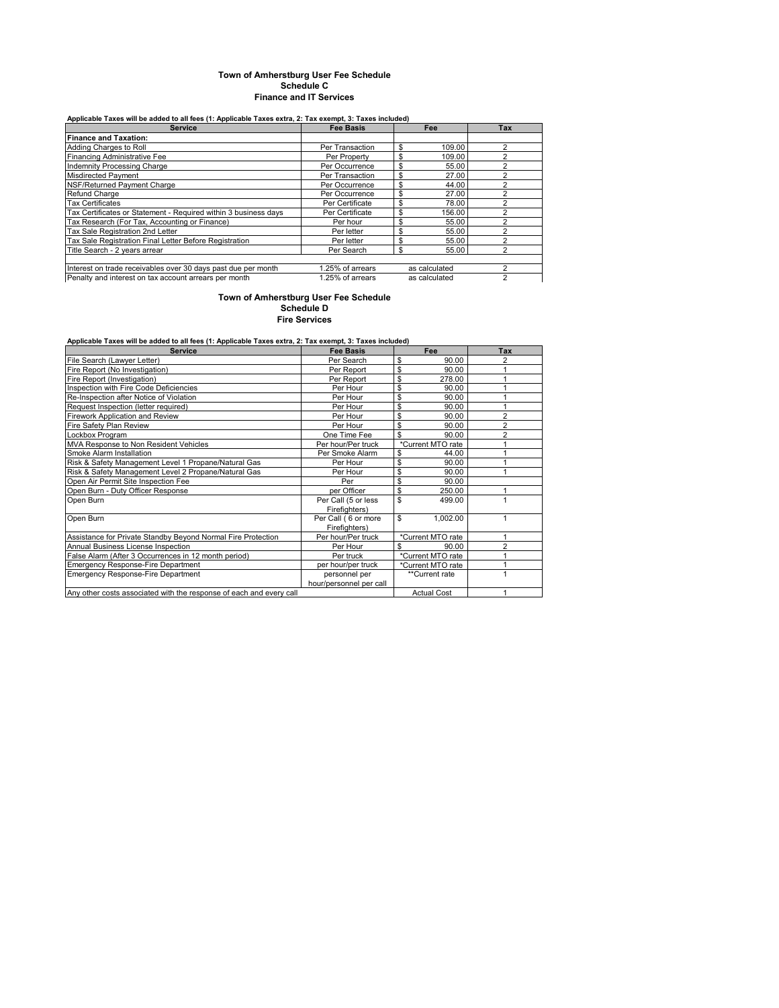#### **Town of Amherstburg User Fee Schedule Schedule C Finance and IT Services**

## **Applicable Taxes will be added to all fees (1: Applicable Taxes extra, 2: Tax exempt, 3: Taxes included)**

| <b>Service</b>                                                  | <b>Fee Basis</b> | Fee           | Tax        |
|-----------------------------------------------------------------|------------------|---------------|------------|
| <b>Finance and Taxation:</b>                                    |                  |               |            |
| Adding Charges to Roll                                          | Per Transaction  | \$<br>109.00  | n          |
| <b>Financing Administrative Fee</b>                             | Per Property     | \$<br>109.00  | っ          |
| Indemnity Processing Charge                                     | Per Occurrence   | \$<br>55.00   | 2          |
| Misdirected Payment                                             | Per Transaction  | \$<br>27.00   |            |
| NSF/Returned Payment Charge                                     | Per Occurrence   | \$<br>44.00   | າ          |
| Refund Charge                                                   | Per Occurrence   | \$<br>27.00   | $\sqrt{2}$ |
| <b>Tax Certificates</b>                                         | Per Certificate  | \$<br>78.00   |            |
| Tax Certificates or Statement - Required within 3 business days | Per Certificate  | \$<br>156.00  | ົ          |
| Tax Research (For Tax, Accounting or Finance)                   | Per hour         | \$<br>55.00   | っ          |
| Tax Sale Registration 2nd Letter                                | Per letter       | \$<br>55.00   |            |
| Tax Sale Registration Final Letter Before Registration          | Per letter       | \$<br>55.00   | n          |
| Title Search - 2 vears arrear                                   | Per Search       | \$<br>55.00   | r          |
|                                                                 |                  |               |            |
| Interest on trade receivables over 30 days past due per month   | 1.25% of arrears | as calculated | っ          |
| Penalty and interest on tax account arrears per month           | 1.25% of arrears | as calculated | 2          |

**Fire Services Town of Amherstburg User Fee Schedule Schedule D**

| Applicable Taxes will be added to all fees (1: Applicable Taxes extra, 2: Tax exempt, 3: Taxes included) |                         |                    |                |
|----------------------------------------------------------------------------------------------------------|-------------------------|--------------------|----------------|
| <b>Service</b>                                                                                           | <b>Fee Basis</b>        | Fee                | Tax            |
| File Search (Lawyer Letter)                                                                              | Per Search              | \$<br>90.00        | 2              |
| Fire Report (No Investigation)                                                                           | Per Report              | \$<br>90.00        |                |
| Fire Report (Investigation)                                                                              | Per Report              | \$<br>278.00       |                |
| Inspection with Fire Code Deficiencies                                                                   | Per Hour                | \$<br>90.00        |                |
| Re-Inspection after Notice of Violation                                                                  | Per Hour                | \$<br>90.00        |                |
| Request Inspection (letter required)                                                                     | Per Hour                | \$<br>90.00        |                |
| <b>Firework Application and Review</b>                                                                   | Per Hour                | \$<br>90.00        | $\overline{a}$ |
| Fire Safety Plan Review                                                                                  | Per Hour                | \$<br>90.00        | $\overline{2}$ |
| Lockbox Program                                                                                          | One Time Fee            | \$<br>90.00        | $\overline{a}$ |
| MVA Response to Non Resident Vehicles                                                                    | Per hour/Per truck      | *Current MTO rate  |                |
| Smoke Alarm Installation                                                                                 | Per Smoke Alarm         | \$<br>44.00        |                |
| Risk & Safety Management Level 1 Propane/Natural Gas                                                     | Per Hour                | \$<br>90.00        |                |
| Risk & Safety Management Level 2 Propane/Natural Gas                                                     | Per Hour                | \$<br>90.00        |                |
| Open Air Permit Site Inspection Fee                                                                      | Per                     | \$<br>90.00        |                |
| Open Burn - Duty Officer Response                                                                        | per Officer             | \$<br>250.00       |                |
| Open Burn                                                                                                | Per Call (5 or less     | \$<br>499.00       |                |
|                                                                                                          | Firefighters)           |                    |                |
| Open Burn                                                                                                | Per Call (6 or more     | \$<br>1,002.00     |                |
|                                                                                                          | Firefighters)           |                    |                |
| Assistance for Private Standby Beyond Normal Fire Protection                                             | Per hour/Per truck      | *Current MTO rate  |                |
| Annual Business License Inspection                                                                       | Per Hour                | \$<br>90.00        |                |
| False Alarm (After 3 Occurrences in 12 month period)                                                     | Per truck               | *Current MTO rate  |                |
| Emergency Response-Fire Department                                                                       | per hour/per truck      | *Current MTO rate  |                |
| Emergency Response-Fire Department                                                                       | personnel per           | **Current rate     |                |
|                                                                                                          | hour/personnel per call |                    |                |
| Any other costs associated with the response of each and every call                                      |                         | <b>Actual Cost</b> |                |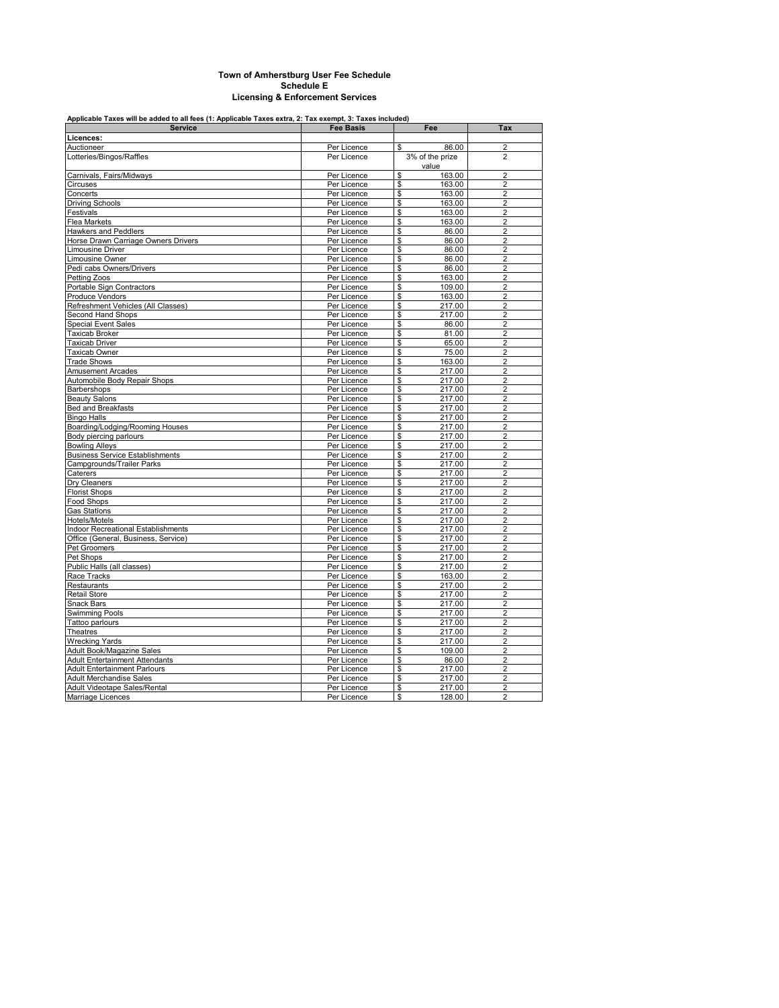### **Town of Amherstburg User Fee Schedule Schedule E Licensing & Enforcement Services**

## **Applicable Taxes will be added to all fees (1: Applicable Taxes extra, 2: Tax exempt, 3: Taxes included)**

| <b>Service</b>                            | <b>Fee Basis</b> | Fee                    | Tax            |
|-------------------------------------------|------------------|------------------------|----------------|
| Licences:                                 |                  |                        |                |
| Auctioneer                                | Per Licence      | 86.00<br>\$            | $\overline{2}$ |
| Lotteries/Bingos/Raffles                  | Per Licence      | 3% of the prize        | $\overline{2}$ |
|                                           |                  | value                  |                |
| Carnivals, Fairs/Midways                  | Per Licence      | \$<br>163.00           | $\overline{2}$ |
| Circuses                                  | Per Licence      | \$<br>163.00           | $\overline{2}$ |
| Concerts                                  | Per Licence      | \$<br>163.00           | $\overline{2}$ |
| <b>Driving Schools</b>                    | Per Licence      | \$<br>163.00           | $\overline{2}$ |
| Festivals                                 | Per Licence      | \$<br>163.00           | $\overline{2}$ |
| Flea Markets                              | Per Licence      | \$<br>163.00           | $\overline{2}$ |
| <b>Hawkers and Peddlers</b>               | Per Licence      | \$<br>86.00            | $\overline{2}$ |
| Horse Drawn Carriage Owners Drivers       | Per Licence      | \$<br>86.00            | $\overline{c}$ |
| Limousine Driver                          | Per Licence      | \$<br>86.00            | 2              |
| Limousine Owner                           | Per Licence      | \$<br>86.00            | $\overline{2}$ |
| Pedi cabs Owners/Drivers                  | Per Licence      | $\mathsf{\$}$<br>86.00 | $\overline{2}$ |
| Petting Zoos                              | Per Licence      | \$<br>163.00           | $\overline{2}$ |
| Portable Sign Contractors                 | Per Licence      | \$<br>109.00           | $\overline{2}$ |
| Produce Vendors                           | Per Licence      | \$<br>163.00           | $\overline{2}$ |
| Refreshment Vehicles (All Classes)        | Per Licence      | \$<br>217.00           | $\overline{2}$ |
| Second Hand Shops                         | Per Licence      | \$<br>217.00           | $\overline{2}$ |
| <b>Special Event Sales</b>                | Per Licence      | \$<br>86.00            | $\overline{2}$ |
| Taxicab Broker                            | Per Licence      | \$<br>81.00            | $\overline{2}$ |
| Taxicab Driver                            | Per Licence      | \$<br>65.00            | $\overline{2}$ |
| Taxicab Owner                             | Per Licence      | \$<br>75.00            | $\overline{2}$ |
| <b>Trade Shows</b>                        | Per Licence      | \$<br>163.00           | $\overline{a}$ |
| <b>Amusement Arcades</b>                  | Per Licence      | \$<br>217.00           | $\overline{2}$ |
| Automobile Body Repair Shops              | Per Licence      | \$<br>217.00           | $\overline{2}$ |
| Barbershops                               | Per Licence      | \$<br>217.00           | $\overline{2}$ |
| <b>Beauty Salons</b>                      | Per Licence      | \$<br>217.00           | $\overline{2}$ |
| Bed and Breakfasts                        | Per Licence      | \$<br>217.00           | $\overline{2}$ |
| <b>Bingo Halls</b>                        | Per Licence      | \$<br>217.00           | $\overline{2}$ |
| Boarding/Lodging/Rooming Houses           | Per Licence      | \$<br>217.00           | $\overline{2}$ |
| Body piercing parlours                    | Per Licence      | \$<br>217.00           | $\overline{2}$ |
| <b>Bowling Alleys</b>                     | Per Licence      | \$<br>217.00           | $\overline{2}$ |
| <b>Business Service Establishments</b>    | Per Licence      | \$<br>217.00           | $\overline{2}$ |
| <b>Campgrounds/Trailer Parks</b>          | Per Licence      | \$<br>217.00           | $\overline{2}$ |
| Caterers                                  | Per Licence      | \$<br>217.00           | $\overline{2}$ |
| Dry Cleaners                              | Per Licence      | \$<br>217.00           | $\overline{2}$ |
| <b>Florist Shops</b>                      | Per Licence      | \$<br>217.00           | $\overline{2}$ |
| Food Shops                                | Per Licence      | \$<br>217.00           | $\overline{2}$ |
| <b>Gas Stations</b>                       | Per Licence      | \$<br>217.00           | $\overline{2}$ |
| Hotels/Motels                             | Per Licence      | \$<br>217.00           | $\overline{2}$ |
| <b>Indoor Recreational Establishments</b> | Per Licence      | \$<br>217.00           | $\overline{2}$ |
| Office (General, Business, Service)       | Per Licence      | \$<br>217.00           | $\overline{2}$ |
| Pet Groomers                              | Per Licence      | \$<br>217.00           | $\overline{2}$ |
| Pet Shops                                 | Per Licence      | \$<br>217.00           | $\overline{2}$ |
| Public Halls (all classes)                | Per Licence      | \$<br>217.00           | $\overline{2}$ |
| Race Tracks                               | Per Licence      | \$<br>163.00           | $\overline{2}$ |
| Restaurants                               | Per Licence      | \$<br>217.00           | $\overline{2}$ |
| <b>Retail Store</b>                       | Per Licence      | \$<br>217.00           | $\overline{2}$ |
| <b>Snack Bars</b>                         | Per Licence      | \$<br>217.00           | $\overline{2}$ |
| <b>Swimming Pools</b>                     | Per Licence      | \$<br>217.00           | $\overline{2}$ |
| Tattoo parlours                           | Per Licence      | \$<br>217.00           | $\overline{2}$ |
| Theatres                                  | Per Licence      | \$<br>217.00           | $\overline{2}$ |
| <b>Wrecking Yards</b>                     | Per Licence      | \$<br>217.00           | $\overline{2}$ |
| Adult Book/Magazine Sales                 | Per Licence      | \$<br>109.00           | $\overline{2}$ |
| <b>Adult Entertainment Attendants</b>     | Per Licence      | \$<br>86.00            | $\overline{2}$ |
| <b>Adult Entertainment Parlours</b>       | Per Licence      | \$<br>217.00           | $\overline{2}$ |
| <b>Adult Merchandise Sales</b>            | Per Licence      | \$<br>217.00           | $\overline{2}$ |
| Adult Videotape Sales/Rental              | Per Licence      | \$<br>217.00           | $\overline{c}$ |
| Marriage Licences                         | Per Licence      | \$<br>128.00           | $\overline{a}$ |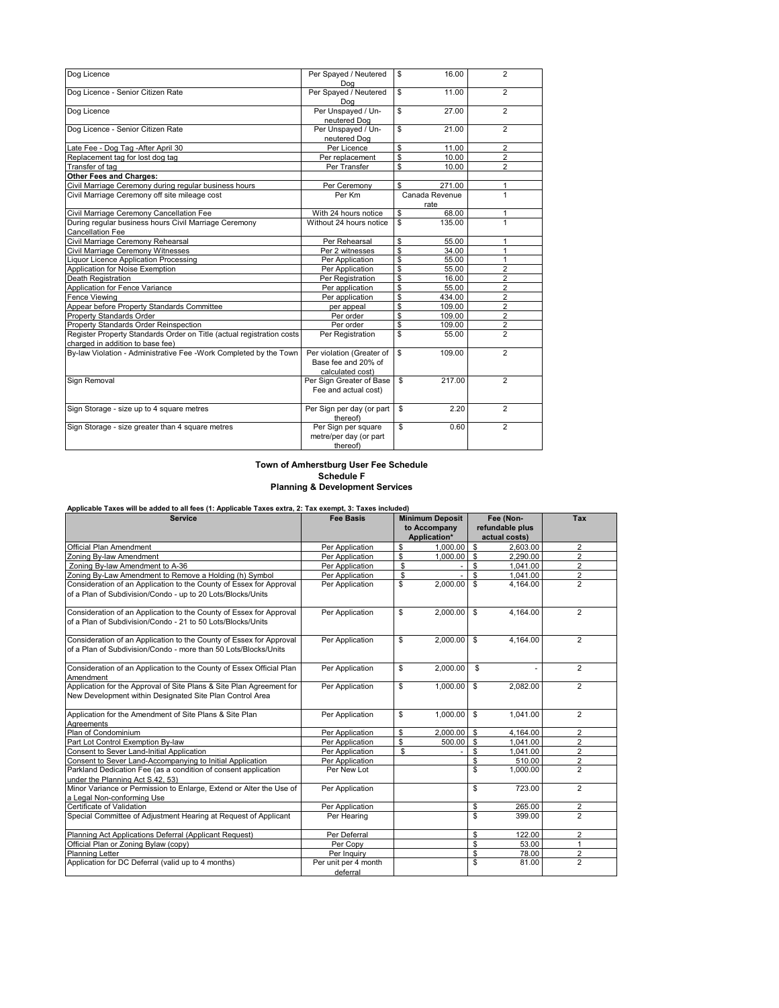| Dog Licence                                                           | Per Spayed / Neutered        | \$<br>16.00         | $\overline{2}$ |
|-----------------------------------------------------------------------|------------------------------|---------------------|----------------|
|                                                                       | Dog                          |                     |                |
| Dog Licence - Senior Citizen Rate                                     | Per Spayed / Neutered<br>Dog | \$<br>11.00         | $\overline{2}$ |
| Dog Licence                                                           | Per Unspayed / Un-           | \$<br>27.00         | $\overline{2}$ |
|                                                                       | neutered Dog                 |                     |                |
| Dog Licence - Senior Citizen Rate                                     | Per Unspayed / Un-           | \$<br>21.00         | $\overline{2}$ |
|                                                                       | neutered Dog                 |                     |                |
| Late Fee - Dog Tag - After April 30                                   | Per Licence                  | \$<br>11.00         | 2              |
| Replacement tag for lost dog tag                                      | Per replacement              | \$<br>10.00         | $\overline{2}$ |
| Transfer of tag                                                       | Per Transfer                 | \$<br>10.00         | $\overline{2}$ |
| <b>Other Fees and Charges:</b>                                        |                              |                     |                |
| Civil Marriage Ceremony during regular business hours                 | Per Ceremony                 | \$<br>271.00        | 1              |
| Civil Marriage Ceremony off site mileage cost                         | Per Km                       | Canada Revenue      | 1              |
| Civil Marriage Ceremony Cancellation Fee                              | With 24 hours notice         | rate<br>\$<br>68.00 | 1              |
| During regular business hours Civil Marriage Ceremony                 | Without 24 hours notice      | \$<br>135.00        | 1              |
| <b>Cancellation Fee</b>                                               |                              |                     |                |
| Civil Marriage Ceremony Rehearsal                                     | Per Rehearsal                | \$<br>55.00         | 1              |
| Civil Marriage Ceremony Witnesses                                     | Per 2 witnesses              | \$<br>34.00         | 1              |
| Liquor Licence Application Processing                                 | Per Application              | \$<br>55.00         | 1              |
| Application for Noise Exemption                                       | Per Application              | \$<br>55.00         | 2              |
| <b>Death Registration</b>                                             | Per Registration             | \$<br>16.00         | $\overline{c}$ |
| Application for Fence Variance                                        | Per application              | \$<br>55.00         | $\overline{2}$ |
| Fence Viewing                                                         | Per application              | \$<br>434.00        | $\overline{2}$ |
| Appear before Property Standards Committee                            | per appeal                   | \$<br>109.00        | $\overline{2}$ |
| <b>Property Standards Order</b>                                       | Per order                    | \$<br>109.00        | $\overline{2}$ |
| <b>Property Standards Order Reinspection</b>                          | Per order                    | \$<br>109.00        | $\overline{2}$ |
| Register Property Standards Order on Title (actual registration costs | Per Registration             | \$<br>55.00         | $\overline{2}$ |
| charged in addition to base fee)                                      |                              |                     |                |
| By-law Violation - Administrative Fee -Work Completed by the Town     | Per violation (Greater of    | \$<br>109.00        | $\overline{2}$ |
|                                                                       | Base fee and 20% of          |                     |                |
|                                                                       | calculated cost)             |                     |                |
| Sign Removal                                                          | Per Sign Greater of Base     | 217.00<br>\$        | $\overline{2}$ |
|                                                                       | Fee and actual cost)         |                     |                |
|                                                                       |                              |                     |                |
| Sign Storage - size up to 4 square metres                             | Per Sign per day (or part    | \$<br>2.20          | $\overline{2}$ |
|                                                                       | thereof)                     |                     |                |
| Sign Storage - size greater than 4 square metres                      | Per Sign per square          | \$<br>0.60          | $\overline{2}$ |
|                                                                       | metre/per day (or part       |                     |                |
|                                                                       | thereof)                     |                     |                |

### **Town of Amherstburg User Fee Schedule Schedule F Planning & Development Services**

| <b>Service</b>                                                                                                                         | <b>Fee Basis</b>                 | <b>Minimum Deposit</b><br>to Accompany<br>Application* |                         | Fee (Non-<br>refundable plus<br>actual costs) | Tax            |
|----------------------------------------------------------------------------------------------------------------------------------------|----------------------------------|--------------------------------------------------------|-------------------------|-----------------------------------------------|----------------|
| Official Plan Amendment                                                                                                                | Per Application                  | \$<br>1,000.00                                         | \$                      | 2.603.00                                      | $\overline{2}$ |
| Zoning By-law Amendment                                                                                                                | Per Application                  | \$<br>$1.000.00$ \$                                    |                         | 2.290.00                                      | $\overline{2}$ |
| Zoning By-law Amendment to A-36                                                                                                        | Per Application                  | \$                                                     | \$                      | 1.041.00                                      | $\overline{2}$ |
| Zoning By-Law Amendment to Remove a Holding (h) Symbol                                                                                 | Per Application                  | \$                                                     | \$                      | 1,041.00                                      | $\overline{2}$ |
| Consideration of an Application to the County of Essex for Approval<br>of a Plan of Subdivision/Condo - up to 20 Lots/Blocks/Units     | Per Application                  | \$<br>2.000.00                                         | $\mathfrak{s}$          | 4,164.00                                      | $\overline{2}$ |
| Consideration of an Application to the County of Essex for Approval<br>of a Plan of Subdivision/Condo - 21 to 50 Lots/Blocks/Units     | Per Application                  | \$<br>2,000.00                                         | $\overline{\mathbf{s}}$ | 4,164.00                                      | $\overline{2}$ |
| Consideration of an Application to the County of Essex for Approval<br>of a Plan of Subdivision/Condo - more than 50 Lots/Blocks/Units | Per Application                  | \$<br>$2,000.00$ \$                                    |                         | 4,164.00                                      | $\mathcal{P}$  |
| Consideration of an Application to the County of Essex Official Plan<br>Amendment                                                      | Per Application                  | \$<br>2,000.00                                         | \$                      |                                               | $\overline{2}$ |
| Application for the Approval of Site Plans & Site Plan Agreement for<br>New Development within Designated Site Plan Control Area       | Per Application                  | \$<br>1,000.00                                         | \$                      | 2,082.00                                      | $\overline{2}$ |
| Application for the Amendment of Site Plans & Site Plan<br>Agreements                                                                  | Per Application                  | \$<br>1.000.00                                         | \$                      | 1.041.00                                      | $\overline{2}$ |
| Plan of Condominium                                                                                                                    | Per Application                  | \$<br>$2.000.00$ \$                                    |                         | 4.164.00                                      | $\overline{2}$ |
| Part Lot Control Exemption By-law                                                                                                      | Per Application                  | \$<br>$500.00$ \$                                      |                         | 1.041.00                                      | $\overline{2}$ |
| Consent to Sever Land-Initial Application                                                                                              | Per Application                  | \$                                                     | \$                      | 1,041.00                                      | $\overline{2}$ |
| Consent to Sever Land-Accompanying to Initial Application                                                                              | Per Application                  |                                                        | $\mathbf{s}$            | 510.00                                        | $\overline{2}$ |
| Parkland Dedication Fee (as a condition of consent application<br>under the Planning Act S.42, 53)                                     | Per New Lot                      |                                                        | \$                      | 1,000.00                                      | $\overline{2}$ |
| Minor Variance or Permission to Enlarge, Extend or Alter the Use of<br>a Legal Non-conforming Use                                      | Per Application                  |                                                        | \$                      | 723.00                                        | $\overline{2}$ |
| Certificate of Validation                                                                                                              | Per Application                  |                                                        | \$                      | 265.00                                        | 2              |
| Special Committee of Adjustment Hearing at Request of Applicant                                                                        | Per Hearing                      |                                                        | \$                      | 399.00                                        | $\overline{2}$ |
| Planning Act Applications Deferral (Applicant Request)                                                                                 | Per Deferral                     |                                                        | \$                      | 122.00                                        | $\overline{2}$ |
| Official Plan or Zoning Bylaw (copy)                                                                                                   | Per Copy                         |                                                        | \$                      | 53.00                                         | $\mathbf{1}$   |
| Planning Letter                                                                                                                        | Per Inquiry                      |                                                        | \$                      | 78.00                                         | $\overline{2}$ |
| Application for DC Deferral (valid up to 4 months)                                                                                     | Per unit per 4 month<br>deferral |                                                        | \$                      | 81.00                                         | $\overline{2}$ |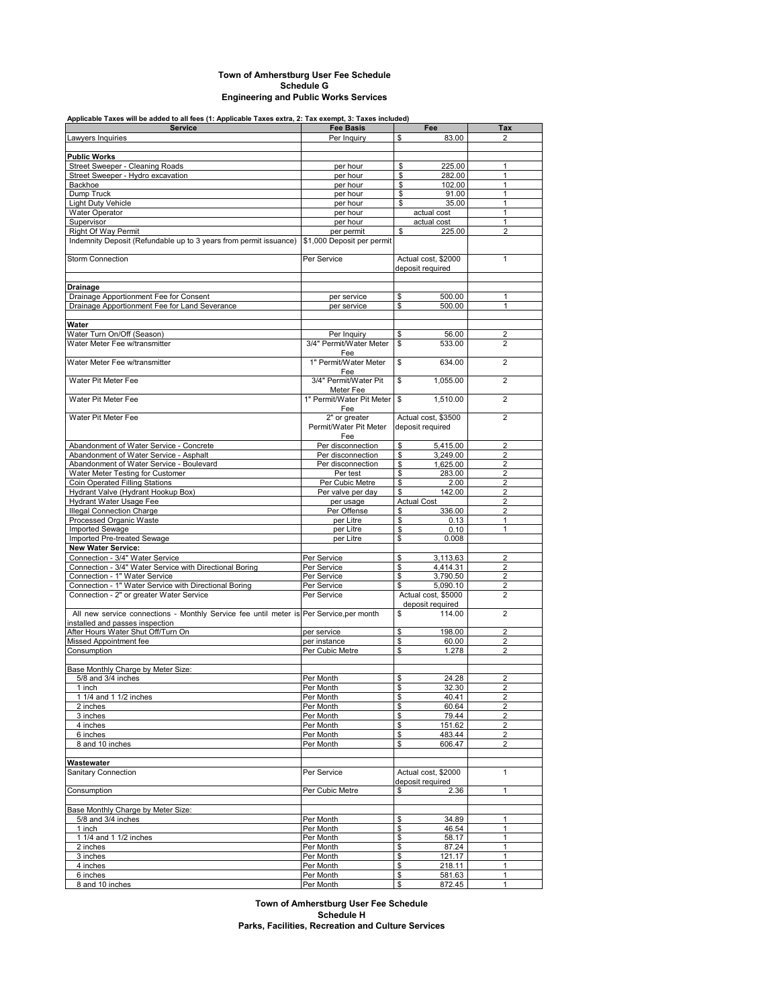### **Town of Amherstburg User Fee Schedule Schedule G Engineering and Public Works Services**

## **Applicable Taxes will be added to all fees (1: Applicable Taxes extra, 2: Tax exempt, 3: Taxes included)**

| <b>Service</b>                                                                          | <b>Fee Basis</b>           | Fee                 | Tax                     |
|-----------------------------------------------------------------------------------------|----------------------------|---------------------|-------------------------|
| Lawyers Inquiries                                                                       | Per Inquiry                | 83.00<br>\$         | 2                       |
|                                                                                         |                            |                     |                         |
|                                                                                         |                            |                     |                         |
| <b>Public Works</b>                                                                     |                            |                     |                         |
| Street Sweeper - Cleaning Roads                                                         | per hour                   | 225.00<br>\$        | 1                       |
| Street Sweeper - Hydro excavation                                                       | per hour                   | 282.00<br>\$        | $\mathbf{1}$            |
| Backhoe                                                                                 | per hour                   | \$<br>102.00        | $\mathbf{1}$            |
| Dump Truck                                                                              | per hour                   | \$<br>91.00         | $\mathbf{1}$            |
| <b>Light Duty Vehicle</b>                                                               | per hour                   | \$<br>35.00         | 1                       |
| Water Operator                                                                          | per hour                   | actual cost         | 1                       |
| Supervisor                                                                              | per hour                   | actual cost         | 1                       |
| <b>Right Of Way Permit</b>                                                              | per permit                 | \$<br>225.00        | $\overline{2}$          |
| Indemnity Deposit (Refundable up to 3 years from permit issuance)                       | \$1,000 Deposit per permit |                     |                         |
|                                                                                         |                            |                     |                         |
| <b>Storm Connection</b>                                                                 |                            |                     |                         |
|                                                                                         | Per Service                | Actual cost, \$2000 | 1                       |
|                                                                                         |                            | deposit required    |                         |
|                                                                                         |                            |                     |                         |
| Drainage                                                                                |                            |                     |                         |
| Drainage Apportionment Fee for Consent                                                  | per service                | 500.00<br>\$        | 1                       |
| Drainage Apportionment Fee for Land Severance                                           | per service                | 500.00<br>\$        | 1                       |
|                                                                                         |                            |                     |                         |
| Water                                                                                   |                            |                     |                         |
| Water Turn On/Off (Season)                                                              | Per Inquiry                | 56.00<br>\$         | $\overline{2}$          |
| Water Meter Fee w/transmitter                                                           | 3/4" Permit/Water Meter    | \$                  | $\overline{2}$          |
|                                                                                         |                            | 533.00              |                         |
|                                                                                         | Fee                        |                     |                         |
| Water Meter Fee w/transmitter                                                           | 1" Permit/Water Meter      | \$<br>634.00        | $\overline{2}$          |
|                                                                                         | Fee                        |                     |                         |
| Water Pit Meter Fee                                                                     | 3/4" Permit/Water Pit      | \$<br>1,055.00      | $\overline{2}$          |
|                                                                                         | Meter Fee                  |                     |                         |
| Water Pit Meter Fee                                                                     | 1" Permit/Water Pit Meter  | 1.510.00<br>\$      | $\overline{2}$          |
|                                                                                         | Fee                        |                     |                         |
| Water Pit Meter Fee                                                                     | 2" or greater              | Actual cost, \$3500 | $\overline{2}$          |
|                                                                                         | Permit/Water Pit Meter     | deposit required    |                         |
|                                                                                         | Fee                        |                     |                         |
|                                                                                         |                            |                     |                         |
| Abandonment of Water Service - Concrete                                                 | Per disconnection          | \$<br>5,415.00      | $\overline{2}$          |
| Abandonment of Water Service - Asphalt                                                  | Per disconnection          | \$<br>3,249.00      | $\overline{2}$          |
| Abandonment of Water Service - Boulevard                                                | Per disconnection          | 1,625.00<br>\$      | $\overline{2}$          |
| Water Meter Testing for Customer                                                        | Per test                   | \$<br>283.00        | $\overline{2}$          |
| Coin Operated Filling Stations                                                          | Per Cubic Metre            | \$<br>2.00          | $\overline{2}$          |
| Hydrant Valve (Hydrant Hookup Box)                                                      | Per valve per day          | \$<br>142.00        | $\overline{2}$          |
| Hydrant Water Usage Fee                                                                 | per usage                  | <b>Actual Cost</b>  | $\overline{2}$          |
| <b>Illegal Connection Charge</b>                                                        | Per Offense                | 336.00<br>\$        | $\overline{2}$          |
| Processed Organic Waste                                                                 | per Litre                  | \$<br>0.13          | 1                       |
| Imported Sewage                                                                         |                            | \$                  | 1                       |
|                                                                                         | per Litre                  | 0.10                |                         |
| Imported Pre-treated Sewage                                                             | per Litre                  | \$<br>0.008         |                         |
| <b>New Water Service:</b>                                                               |                            |                     |                         |
| Connection - 3/4" Water Service                                                         | Per Service                | 3,113.63<br>\$      | $\overline{2}$          |
| Connection - 3/4" Water Service with Directional Boring                                 | Per Service                | \$<br>4,414.31      | $\overline{2}$          |
| Connection - 1" Water Service                                                           | Per Service                | 3,790.50<br>\$      | 2                       |
| Connection - 1" Water Service with Directional Boring                                   | Per Service                | \$.<br>5,090.10     | $\overline{2}$          |
| Connection - 2" or greater Water Service                                                | Per Service                | Actual cost, \$5000 | $\overline{2}$          |
|                                                                                         |                            | deposit required    |                         |
| All new service connections - Monthly Service fee until meter is Per Service, per month |                            | \$<br>114.00        | $\overline{2}$          |
|                                                                                         |                            |                     |                         |
| installed and passes inspection                                                         |                            |                     |                         |
| After Hours Water Shut Off/Turn On                                                      | per service                | 198.00<br>\$        | $\overline{2}$          |
| Missed Appointment fee                                                                  | per instance               | 60.00<br>\$         | 2                       |
| Consumption                                                                             | Per Cubic Metre            | \$<br>1.278         | $\overline{2}$          |
|                                                                                         |                            |                     |                         |
| Base Monthly Charge by Meter Size:                                                      |                            |                     |                         |
| 5/8 and 3/4 inches                                                                      | Per Month                  | \$<br>24.28         | $\overline{2}$          |
| 1 inch                                                                                  | Per Month                  | 32.30<br>\$         | $\overline{2}$          |
| 1 1/4 and 1 1/2 inches                                                                  | Per Month                  | \$<br>40.41         | $\overline{c}$          |
| 2 inches                                                                                | Per Month                  | \$<br>60.64         | $\overline{2}$          |
| 3 inches                                                                                | Per Month                  | 79.44<br>\$         | $\overline{2}$          |
|                                                                                         |                            | 151.62              |                         |
| 4 inches                                                                                | Per Month                  | \$                  | 2                       |
| 6 inches                                                                                | Per Month                  | \$<br>483.44        | $\overline{\mathbf{c}}$ |
| 8 and 10 inches                                                                         | Per Month                  | \$<br>606.47        | $\overline{2}$          |
|                                                                                         |                            |                     |                         |
| Wastewater                                                                              |                            |                     |                         |
| Sanitary Connection                                                                     | Per Service                | Actual cost, \$2000 | $\mathbf{1}$            |
|                                                                                         |                            | deposit required    |                         |
| Consumption                                                                             | Per Cubic Metre            | \$<br>2.36          | $\mathbf{1}$            |
|                                                                                         |                            |                     |                         |
|                                                                                         |                            |                     |                         |
| Base Monthly Charge by Meter Size:                                                      |                            |                     |                         |
| 5/8 and 3/4 inches                                                                      | Per Month                  | \$<br>34.89         | 1                       |
| 1 inch                                                                                  | Per Month                  | \$<br>46.54         | $\mathbf{1}$            |
| 1 1/4 and 1 1/2 inches                                                                  | Per Month                  | \$<br>58.17         | 1                       |
| 2 inches                                                                                | Per Month                  | \$<br>87.24         | 1                       |
| 3 inches                                                                                | Per Month                  | \$<br>121.17        | 1                       |
| 4 inches                                                                                | Per Month                  | \$<br>218.11        | $\mathbf{1}$            |
| 6 inches                                                                                | Per Month                  | \$<br>581.63        | 1                       |
| 8 and 10 inches                                                                         | Per Month                  | \$<br>872.45        | 1                       |
|                                                                                         |                            |                     |                         |

**Schedule H Parks, Facilities, Recreation and Culture Services Town of Amherstburg User Fee Schedule**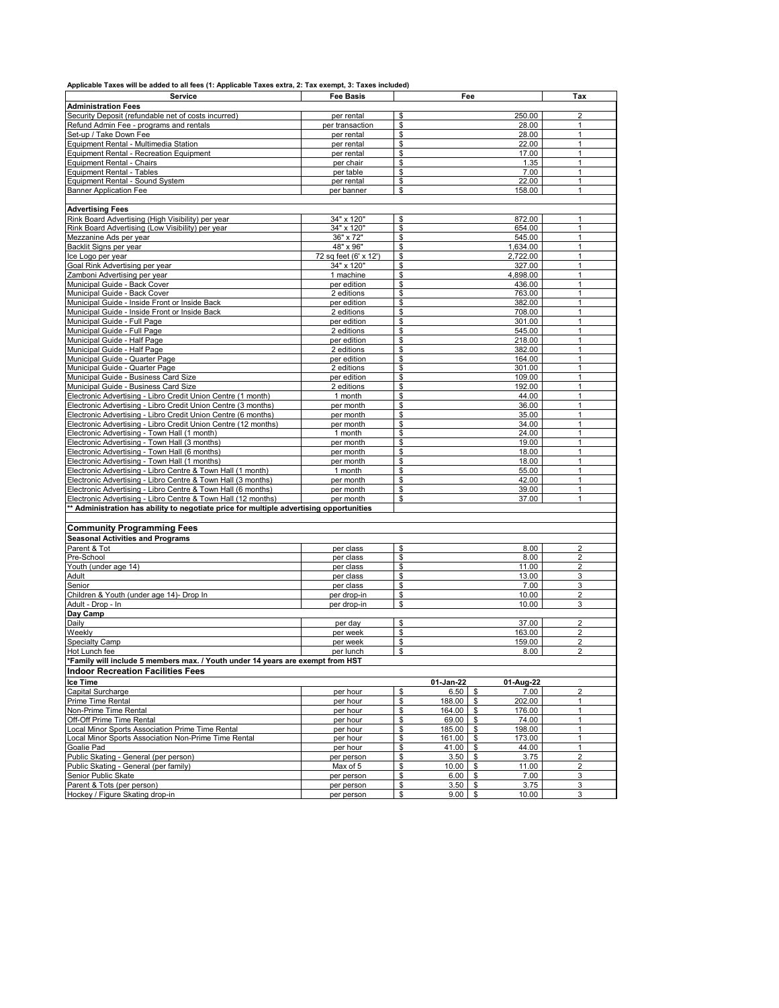| Applicable Taxes will be added to all fees (1: Applicable Taxes extra, 2: Tax exempt, 3: Taxes included) |  |
|----------------------------------------------------------------------------------------------------------|--|
|----------------------------------------------------------------------------------------------------------|--|

| Service                                                                                 | <b>Fee Basis</b>      | Fee                                 | Tax            |
|-----------------------------------------------------------------------------------------|-----------------------|-------------------------------------|----------------|
| <b>Administration Fees</b>                                                              |                       |                                     |                |
| Security Deposit (refundable net of costs incurred)                                     | per rental            | 250.00<br>\$                        | $\overline{2}$ |
| Refund Admin Fee - programs and rentals                                                 | per transaction       | 28.00<br>\$                         | 1              |
|                                                                                         |                       |                                     | $\mathbf{1}$   |
| Set-up / Take Down Fee                                                                  | per rental            | \$<br>28.00                         |                |
| Equipment Rental - Multimedia Station                                                   | per rental            | \$<br>22.00                         | $\mathbf{1}$   |
| Equipment Rental - Recreation Equipment                                                 | per rental            | \$<br>17.00                         | $\mathbf{1}$   |
| Equipment Rental - Chairs                                                               | per chair             | \$<br>1.35                          | $\mathbf{1}$   |
| <b>Equipment Rental - Tables</b>                                                        | per table             | \$<br>7.00                          | 1              |
| Equipment Rental - Sound System                                                         | per rental            | \$<br>22.00                         | $\mathbf{1}$   |
| <b>Banner Application Fee</b>                                                           | per banner            | \$<br>158.00                        | $\mathbf{1}$   |
|                                                                                         |                       |                                     |                |
| <b>Advertising Fees</b>                                                                 |                       |                                     |                |
| Rink Board Advertising (High Visibility) per year                                       | 34" x 120"            | 872.00<br>\$                        | $\mathbf{1}$   |
| Rink Board Advertising (Low Visibility) per year                                        | 34" x 120"            | \$<br>654.00                        | 1              |
| Mezzanine Ads per year                                                                  | 36" x 72"             | \$<br>545.00                        | $\mathbf{1}$   |
| Backlit Signs per year                                                                  | 48" x 96"             | \$<br>1,634.00                      | $\mathbf{1}$   |
| lce Logo per year                                                                       | 72 sq feet (6' x 12') | 2,722.00<br>\$                      | $\mathbf{1}$   |
| Goal Rink Advertising per year                                                          | 34" x 120"            | \$<br>327.00                        | $\mathbf{1}$   |
| Zamboni Advertising per year                                                            | 1 machine             | \$<br>4,898.00                      | $\mathbf{1}$   |
| Municipal Guide - Back Cover                                                            | per edition           | \$<br>436.00                        | $\mathbf{1}$   |
|                                                                                         |                       |                                     |                |
| Municipal Guide - Back Cover                                                            | 2 editions            | \$<br>763.00                        | $\mathbf{1}$   |
| Municipal Guide - Inside Front or Inside Back                                           | per edition           | \$<br>382.00                        | $\mathbf{1}$   |
| Municipal Guide - Inside Front or Inside Back                                           | 2 editions            | S<br>708.00                         | $\mathbf{1}$   |
| Municipal Guide - Full Page                                                             | per edition           | \$<br>301.00                        | $\mathbf{1}$   |
| Municipal Guide - Full Page                                                             | 2 editions            | \$<br>545.00                        | $\mathbf{1}$   |
| Municipal Guide - Half Page                                                             | per edition           | \$<br>218.00                        | $\mathbf{1}$   |
| Municipal Guide - Half Page                                                             | 2 editions            | \$<br>382.00                        | $\mathbf{1}$   |
| Municipal Guide - Quarter Page                                                          | per edition           | \$<br>164.00                        | $\overline{1}$ |
| Municipal Guide - Quarter Page                                                          | 2 editions            | \$<br>301.00                        | $\mathbf{1}$   |
| Municipal Guide - Business Card Size                                                    | per edition           | \$<br>109.00                        | $\mathbf{1}$   |
| Municipal Guide - Business Card Size                                                    | 2 editions            | \$<br>192.00                        | $\mathbf{1}$   |
| Electronic Advertising - Libro Credit Union Centre (1 month)                            | 1 month               | S<br>44.00                          | $\mathbf{1}$   |
| Electronic Advertising - Libro Credit Union Centre (3 months)                           | per month             | \$<br>36.00                         | $\mathbf{1}$   |
|                                                                                         | per month             | \$<br>35.00                         | $\mathbf{1}$   |
| Electronic Advertising - Libro Credit Union Centre (6 months)                           |                       | \$                                  | $\mathbf{1}$   |
| Electronic Advertising - Libro Credit Union Centre (12 months)                          | per month             | 34.00                               |                |
| Electronic Advertising - Town Hall (1 month)                                            | 1 month               | \$<br>24.00                         | $\mathbf{1}$   |
| Electronic Advertising - Town Hall (3 months)                                           | per month             | \$<br>19.00                         | $\mathbf{1}$   |
| Electronic Advertising - Town Hall (6 months)                                           | per month             | \$<br>18.00                         | $\mathbf{1}$   |
| Electronic Advertising - Town Hall (1 months)                                           | per month             | \$<br>18.00                         | $\mathbf{1}$   |
| Electronic Advertising - Libro Centre & Town Hall (1 month)                             | 1 month               | \$<br>55.00                         | $\mathbf{1}$   |
| Electronic Advertising - Libro Centre & Town Hall (3 months)                            | per month             | \$<br>42.00                         | $\mathbf{1}$   |
| Electronic Advertising - Libro Centre & Town Hall (6 months)                            | per month             | \$<br>39.00                         | $\mathbf{1}$   |
| Electronic Advertising - Libro Centre & Town Hall (12 months)                           | per month             | \$<br>37.00                         | $\mathbf{1}$   |
| ** Administration has ability to negotiate price for multiple advertising opportunities |                       |                                     |                |
|                                                                                         |                       |                                     |                |
|                                                                                         |                       |                                     |                |
| <b>Community Programming Fees</b>                                                       |                       |                                     |                |
| <b>Seasonal Activities and Programs</b>                                                 |                       |                                     |                |
| Parent & Tot                                                                            | per class             | \$<br>8.00                          | $\overline{2}$ |
| Pre-School                                                                              | per class             | \$<br>8.00                          | $\overline{2}$ |
| Youth (under age 14)                                                                    | per class             | \$<br>11.00                         | $\overline{2}$ |
| Adult                                                                                   | per class             | \$<br>13.00                         | 3              |
| Senior                                                                                  | per class             | \$<br>7.00                          | 3              |
| Children & Youth (under age 14)- Drop In                                                | per drop-in           | \$<br>10.00                         | $\overline{2}$ |
| Adult - Drop - In                                                                       | per drop-in           | \$<br>10.00                         | 3              |
| Day Camp                                                                                |                       |                                     |                |
| Daily                                                                                   |                       | S<br>37.00                          | $\overline{2}$ |
|                                                                                         | per day               | 163.00                              | $\overline{2}$ |
| Weekly                                                                                  | per week              | \$                                  |                |
| Specialty Camp                                                                          | per week              | \$<br>159.00                        | $\overline{2}$ |
| Hot Lunch fee                                                                           | per lunch             | \$<br>8.00                          | $\overline{2}$ |
| ×<br>"Family will include 5 members max. / Youth under 14 years are exempt from HST     |                       |                                     |                |
| <b>Indoor Recreation Facilities Fees</b>                                                |                       |                                     |                |
| Ice Time                                                                                |                       | 01-Aug-22<br>01 Jan 22              |                |
| <b>Capital Surcharge</b>                                                                | per hour              | \$<br>6.50%<br>7.00                 | $\overline{2}$ |
| Prime Time Rental                                                                       | per hour              | \$<br>202.00<br>188.00 \$           | 1              |
| Non-Prime Time Rental                                                                   |                       | \$<br>164.00 \$<br>176.00           | 1              |
|                                                                                         | per hour              |                                     |                |
| Off-Off Prime Time Rental                                                               | per hour              | \$<br>$69.00$ \$<br>74.00           | 1              |
| ocal Minor Sports Association Prime Time Rental                                         | per hour              | 185.00<br>198.00<br>\$<br>\$        | 1              |
| Local Minor Sports Association Non-Prime Time Rental                                    | per hour              | \$<br>161.00 \$<br>173.00           | $\mathbf{1}$   |
| Goalie Pad                                                                              | per hour              | \$<br>44.00<br>41.00<br>- \$        | $\mathbf{1}$   |
| Public Skating - General (per person)                                                   | per person            | \$<br>$3.50$ \$<br>3.75             | $\overline{2}$ |
| Public Skating - General (per family)                                                   | Max of 5              | \$<br>$10.00$ \$<br>11.00           | 2              |
| Senior Public Skate                                                                     | per person            | 7.00<br>\$<br>6.00<br>$\frac{3}{2}$ | 3              |
| Parent & Tots (per person)                                                              | per person            | \$<br>3.50<br>- \$<br>3.75          | 3              |
| Hockey / Figure Skating drop-in                                                         | per person            | \$<br>$9.00$ \$<br>10.00            | 3              |